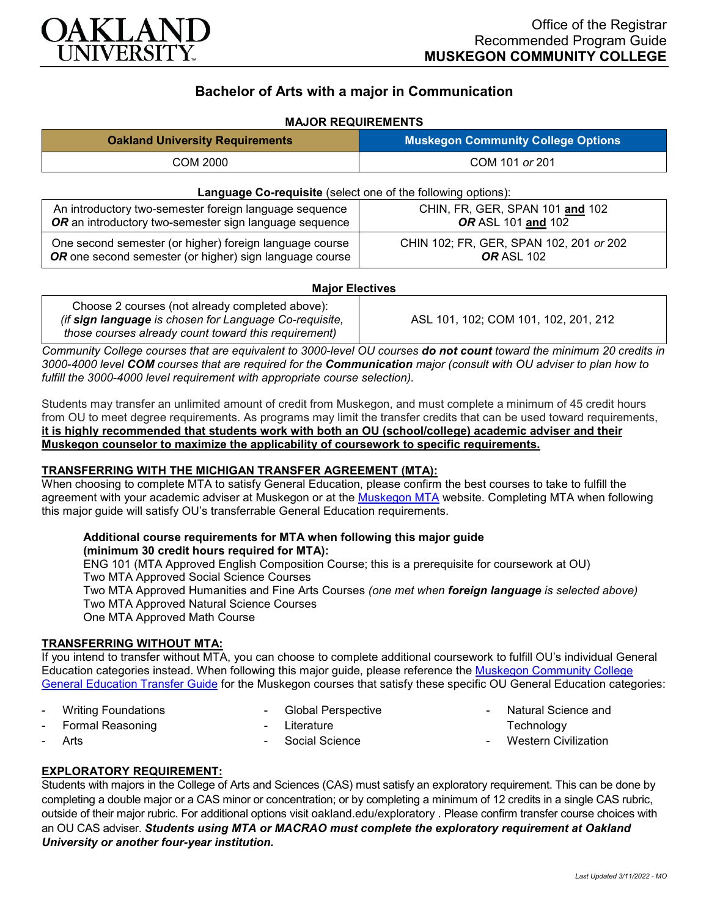

# **Bachelor of Arts with a major in Communication**

## **MAJOR REQUIREMENTS**

| <b>Oakland University Requirements</b>                                                                             | <b>Muskegon Community College Options</b>                    |
|--------------------------------------------------------------------------------------------------------------------|--------------------------------------------------------------|
| COM 2000                                                                                                           | COM 101 or 201                                               |
| Language Co-requisite (select one of the following options):                                                       |                                                              |
| An introductory two-semester foreign language sequence<br>OR an introductory two-semester sign language sequence   | CHIN, FR, GER, SPAN 101 and 102<br>OR ASL 101 and 102        |
| One second semester (or higher) foreign language course<br>OR one second semester (or higher) sign language course | CHIN 102; FR, GER, SPAN 102, 201 or 202<br><b>OR ASL 102</b> |

#### **Major Electives**

| Choose 2 courses (not already completed above):        |                                      |
|--------------------------------------------------------|--------------------------------------|
| (if sign language is chosen for Language Co-requisite, | ASL 101, 102; COM 101, 102, 201, 212 |
| those courses already count toward this requirement)   |                                      |

*Community College courses that are equivalent to 3000-level OU courses do not count toward the minimum 20 credits in 3000-4000 level COM courses that are required for the Communication major (consult with OU adviser to plan how to fulfill the 3000-4000 level requirement with appropriate course selection).*

Students may transfer an unlimited amount of credit from Muskegon, and must complete a minimum of 45 credit hours from OU to meet degree requirements. As programs may limit the transfer credits that can be used toward requirements, **it is highly recommended that students work with both an OU (school/college) academic adviser and their Muskegon counselor to maximize the applicability of coursework to specific requirements.**

#### **TRANSFERRING WITH THE MICHIGAN TRANSFER AGREEMENT (MTA):**

When choosing to complete MTA to satisfy General Education, please confirm the best courses to take to fulfill the agreement with your academic adviser at Muskegon or at the [Muskegon MTA](http://www.muskegoncc.edu/transferservices/wp-content/uploads/sites/147/2019/10/MTA-guide-2019-20-Revised-July-23-2019.pdf) website. Completing MTA when following this major guide will satisfy OU's transferrable General Education requirements.

#### **Additional course requirements for MTA when following this major guide (minimum 30 credit hours required for MTA):**

ENG 101 (MTA Approved English Composition Course; this is a prerequisite for coursework at OU) Two MTA Approved Social Science Courses Two MTA Approved Humanities and Fine Arts Courses *(one met when foreign language is selected above)* Two MTA Approved Natural Science Courses

One MTA Approved Math Course

### **TRANSFERRING WITHOUT MTA:**

If you intend to transfer without MTA, you can choose to complete additional coursework to fulfill OU's individual General Education categories instead. When following this major guide, please reference the [Muskegon Community College](https://www.oakland.edu/Assets/Oakland/program-guides/muskegon-community-college/university-general-education-requirements/Muskegon%20Gen%20Ed.pdf)  [General Education Transfer Guide](https://www.oakland.edu/Assets/Oakland/program-guides/muskegon-community-college/university-general-education-requirements/Muskegon%20Gen%20Ed.pdf) for the Muskegon courses that satisfy these specific OU General Education categories:

Writing Foundations

- Global Perspective

Formal Reasoning

Literature

**Arts** 

Social Science

- Natural Science and **Technology**
- **Western Civilization**

### **EXPLORATORY REQUIREMENT:**

Students with majors in the College of Arts and Sciences (CAS) must satisfy an exploratory requirement. This can be done by completing a double major or a CAS minor or concentration; or by completing a minimum of 12 credits in a single CAS rubric, outside of their major rubric. For additional options visit [oakland.edu/exploratory](http://www.oakland.edu/exploratory) . Please confirm transfer course choices with an OU CAS adviser. *Students using MTA or MACRAO must complete the exploratory requirement at Oakland University or another four-year institution.*